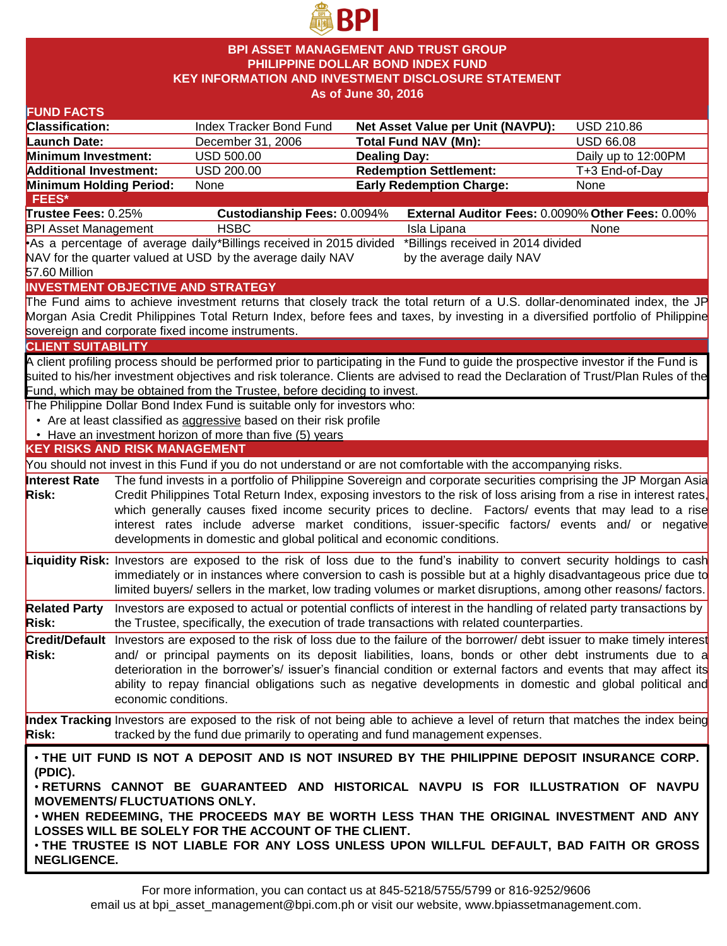

### **BPI ASSET MANAGEMENT AND TRUST GROUP PHILIPPINE DOLLAR BOND INDEX FUND KEY INFORMATION AND INVESTMENT DISCLOSURE STATEMENT As of June 30, 2016**

#### **FUND FACTS Classification:** Index Tracker Bond Fund **Net Asset Value per Unit (NAVPU):** USD 210.86 Launch Date: December 31, 2006 **Total Fund NAV (Mn):** USD 66.08 **Minimum Investment:** USD 500.00 **Dealing Day:** Dealing Day: Daily up to 12:00PM **Additional Investment:** USD 200.00 **Redemption Settlement:** T+3 End-of-Day **Minimum Holding Period: None <b>Early Redemption Charge:** None **KEY RISKS AND RISK MANAGEMENT**  You should not invest in this Fund if you do not understand or are not comfortable with the accompanying risks. **Interest Rate Risk:** The fund invests in a portfolio of Philippine Sovereign and corporate securities comprising the JP Morgan Asia Credit Philippines Total Return Index, exposing investors to the risk of loss arising from a rise in interest rates, which generally causes fixed income security prices to decline. Factors/ events that may lead to a rise interest rates include adverse market conditions, issuer-specific factors/ events and/ or negative developments in domestic and global political and economic conditions. **Liquidity Risk:** Investors are exposed to the risk of loss due to the fund's inability to convert security holdings to cash immediately or in instances where conversion to cash is possible but at a highly disadvantageous price due to limited buyers/ sellers in the market, low trading volumes or market disruptions, among other reasons/ factors. **Related Party Risk:** Investors are exposed to actual or potential conflicts of interest in the handling of related party transactions by the Trustee, specifically, the execution of trade transactions with related counterparties. **Credit/Default**  Investors are exposed to the risk of loss due to the failure of the borrower/ debt issuer to make timely interest **Risk:** and/ or principal payments on its deposit liabilities, loans, bonds or other debt instruments due to a deterioration in the borrower's/ issuer's financial condition or external factors and events that may affect its ability to repay financial obligations such as negative developments in domestic and global political and economic conditions. **Index Tracking** Investors are exposed to the risk of not being able to achieve a level of return that matches the index being **Risk:** tracked by the fund due primarily to operating and fund management expenses. **INVESTMENT OBJECTIVE AND STRATEGY** The Fund aims to achieve investment returns that closely track the total return of a U.S. dollar-denominated index, the JP Morgan Asia Credit Philippines Total Return Index, before fees and taxes, by investing in a diversified portfolio of Philippine sovereign and corporate fixed income instruments. **CLIENT SUITABILITY** A client profiling process should be performed prior to participating in the Fund to guide the prospective investor if the Fund is suited to his/her investment objectives and risk tolerance. Clients are advised to read the Declaration of Trust/Plan Rules of the Fund, which may be obtained from the Trustee, before deciding to invest. The Philippine Dollar Bond Index Fund is suitable only for investors who: • Are at least classified as aggressive based on their risk profile • Have an investment horizon of more than five (5) years • **THE UIT FUND IS NOT A DEPOSIT AND IS NOT INSURED BY THE PHILIPPINE DEPOSIT INSURANCE CORP. (PDIC).** • **RETURNS CANNOT BE GUARANTEED AND HISTORICAL NAVPU IS FOR ILLUSTRATION OF NAVPU MOVEMENTS/ FLUCTUATIONS ONLY.** • **WHEN REDEEMING, THE PROCEEDS MAY BE WORTH LESS THAN THE ORIGINAL INVESTMENT AND ANY LOSSES WILL BE SOLELY FOR THE ACCOUNT OF THE CLIENT.** • **THE TRUSTEE IS NOT LIABLE FOR ANY LOSS UNLESS UPON WILLFUL DEFAULT, BAD FAITH OR GROSS NEGLIGENCE. FEES\* Trustee Fees:** 0.25% **Custodianship Fees:** 0.0094% **External Auditor Fees:** 0.0090% **Other Fees:** 0.00% BPI Asset Management THSBC **Isla Lipana** Isla Lipana None •As a percentage of average daily \*Billings received in 2015 divided NAV for the quarter valued at USD by the average daily NAV 57.60 Million \*Billings received in 2014 divided by the average daily NAV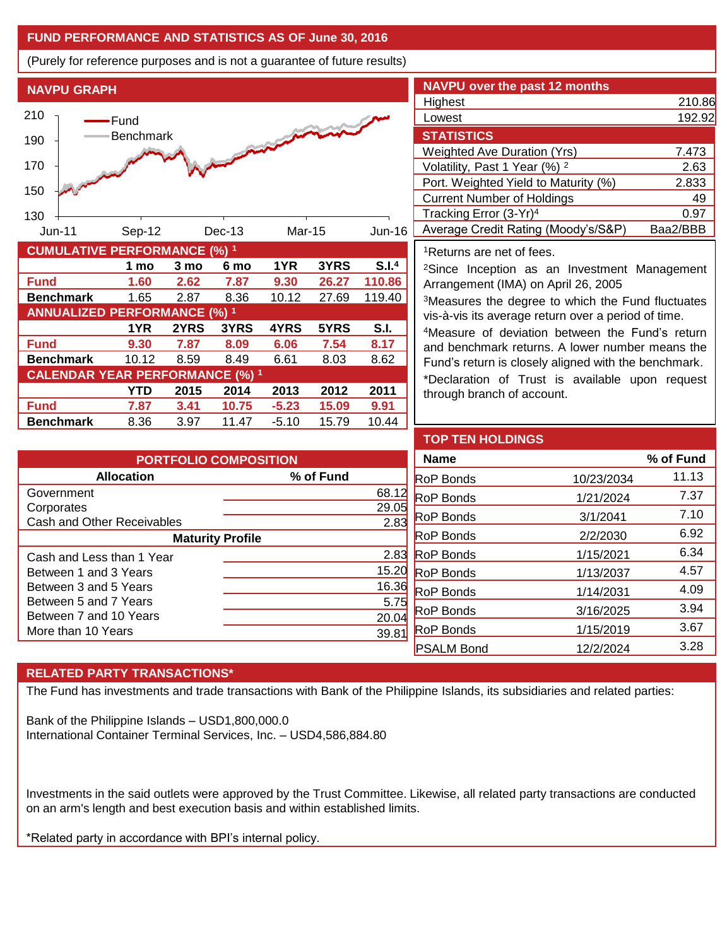## **FUND PERFORMANCE AND STATISTICS AS OF June 30, 2016**

(Purely for reference purposes and is not a guarantee of future results)

**NAVPU GRAPH**



| <b>NAVPU over the past 12 months</b>     |          |
|------------------------------------------|----------|
| Highest                                  | 210.86   |
| Lowest                                   | 192.92   |
| <b>STATISTICS</b>                        |          |
| <b>Weighted Ave Duration (Yrs)</b>       | 7.473    |
| Volatility, Past 1 Year (%) <sup>2</sup> | 2.63     |
| Port. Weighted Yield to Maturity (%)     | 2.833    |
| <b>Current Number of Holdings</b>        | 49       |
| Tracking Error (3-Yr) <sup>4</sup>       | 0.97     |
| Average Credit Rating (Moody's/S&P)      | Baa2/BBB |

<sup>1</sup>Returns are net of fees.

<sup>2</sup>Since Inception as an Investment Management Arrangement (IMA) on April 26, 2005

<sup>3</sup>Measures the degree to which the Fund fluctuates vis-à-vis its average return over a period of time.

<sup>4</sup>Measure of deviation between the Fund's return and benchmark returns. A lower number means the Fund's return is closely aligned with the benchmark.

\*Declaration of Trust is available upon request through branch of account.

| <b>PORTFOLIO COMPOSITION</b> |           |  |  |  |
|------------------------------|-----------|--|--|--|
| <b>Allocation</b>            | % of Fund |  |  |  |
| Government                   | 68.1      |  |  |  |
| Corporates                   | 29.05     |  |  |  |
| Cash and Other Receivables   | 2.83      |  |  |  |
| <b>Maturity Profile</b>      |           |  |  |  |
| Cash and Less than 1 Year    | 2.83      |  |  |  |
| Between 1 and 3 Years        | 15.2      |  |  |  |
| Between 3 and 5 Years        | 16.36     |  |  |  |
| Between 5 and 7 Years        | 5.7       |  |  |  |
| Between 7 and 10 Years       | 20.0      |  |  |  |
| More than 10 Years           | 39.8      |  |  |  |

**Fund 7.87 3.41 10.75 -5.23 15.09 9.91 Benchmark** 8.36 3.97 11.47 -5.10 15.79 10.44

| <b>TOP TEN HOLDINGS</b> |            |           |
|-------------------------|------------|-----------|
| <b>Name</b>             |            | % of Fund |
| <b>RoP</b> Bonds        | 10/23/2034 | 11.13     |
| <b>RoP</b> Bonds        | 1/21/2024  | 7.37      |
| <b>RoP</b> Bonds        | 3/1/2041   | 7.10      |
| <b>RoP Bonds</b>        | 2/2/2030   | 6.92      |
| <b>RoP</b> Bonds        | 1/15/2021  | 6.34      |
| <b>RoP</b> Bonds        | 1/13/2037  | 4.57      |
| <b>RoP</b> Bonds        | 1/14/2031  | 4.09      |
| <b>RoP</b> Bonds        | 3/16/2025  | 3.94      |
| <b>RoP</b> Bonds        | 1/15/2019  | 3.67      |
| <b>PSALM Bond</b>       | 12/2/2024  | 3.28      |

# **RELATED PARTY TRANSACTIONS\***

The Fund has investments and trade transactions with Bank of the Philippine Islands, its subsidiaries and related parties:

Bank of the Philippine Islands – USD1,800,000.0 International Container Terminal Services, Inc. – USD4,586,884.80

Investments in the said outlets were approved by the Trust Committee. Likewise, all related party transactions are conducted on an arm's length and best execution basis and within established limits.

\*Related party in accordance with BPI's internal policy.